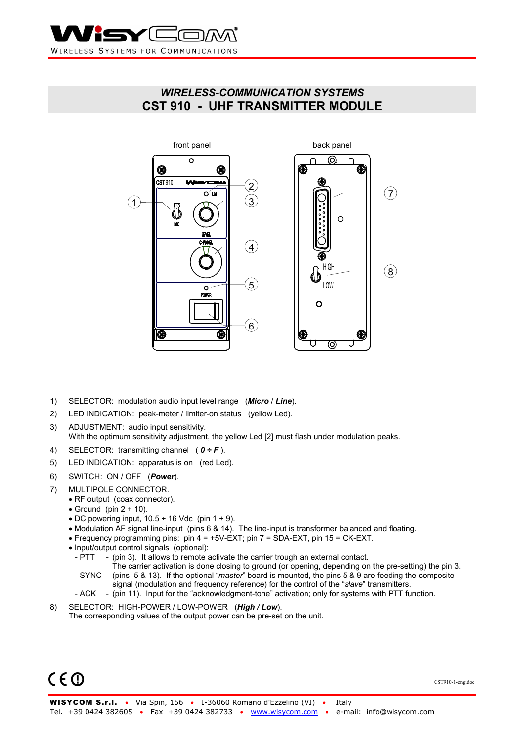

## *WIRELESS-COMMUNICATION SYSTEMS*  **CST 910 - UHF TRANSMITTER MODULE**



- 1) SELECTOR: modulation audio input level range (*Micro* / *Line*).
- 2) LED INDICATION: peak-meter / limiter-on status (yellow Led).
- 3) ADJUSTMENT: audio input sensitivity. With the optimum sensitivity adjustment, the yellow Led [2] must flash under modulation peaks.
- 4) SELECTOR: transmitting channel ( *0 ÷ F* ).
- 5) LED INDICATION: apparatus is on (red Led).
- 6) SWITCH: ON / OFF (*Power*).
- 7) MULTIPOLE CONNECTOR.
	- RF output (coax connector).
	- Ground (pin  $2 + 10$ ).
	- DC powering input,  $10.5 \div 16$  Vdc (pin  $1 + 9$ ).
	- Modulation AF signal line-input (pins 6 & 14). The line-input is transformer balanced and floating.
	- Frequency programming pins: pin  $4 = +5V-EXT$ ; pin  $7 = SDA-EXT$ , pin  $15 = CK-EXT$ .
	- Input/output control signals (optional):
		- $-$  PTT  $-$  (pin 3). It allows to remote activate the carrier trough an external contact.
		- The carrier activation is done closing to ground (or opening, depending on the pre-setting) the pin 3. - SYNC - (pins 5 & 13). If the optional "*master*" board is mounted, the pins 5 & 9 are feeding the composite
			- signal (modulation and frequency reference) for the control of the "*slave*" transmitters.
		- ACK (pin 11). Input for the "acknowledgment-tone" activation; only for systems with PTT function.
- 8) SELECTOR: HIGH-POWER / LOW-POWER (*High / Low*). The corresponding values of the output power can be pre-set on the unit.

 $C \in \mathbb{O}$ 

CST910-1-eng.doc